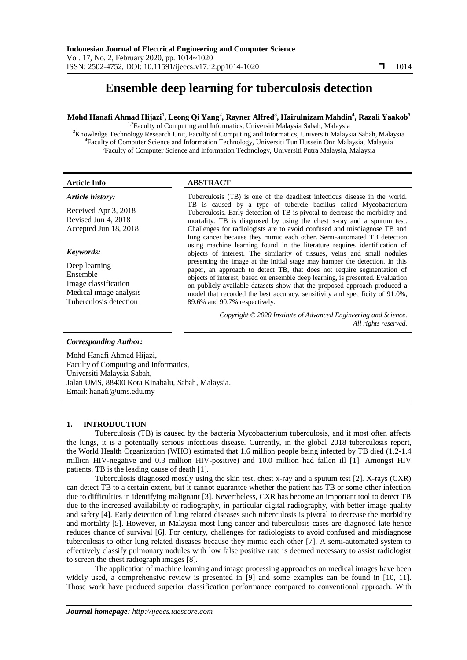# **Ensemble deep learning for tuberculosis detection**

# **Mohd Hanafi Ahmad Hijazi<sup>1</sup> , Leong Qi Yang<sup>2</sup> , Rayner Alfred<sup>3</sup> , Hairulnizam Mahdin<sup>4</sup> , Razali Yaakob<sup>5</sup>**

 $1.2$ Faculty of Computing and Informatics, Universiti Malaysia Sabah, Malaysia <sup>3</sup>Knowledge Technology Research Unit, Faculty of Computing and Informatics, Universiti Malaysia Sabah, Malaysia 4 Faculty of Computer Science and Information Technology, Universiti Tun Hussein Onn Malaysia, Malaysia <sup>5</sup>Faculty of Computer Science and Information Technology, Universiti Putra Malaysia, Malaysia

# **Article Info ABSTRACT**

89.6% and 90.7% respectively.

# *Article history:*

Received Apr 3, 2018 Revised Jun 4, 2018 Accepted Jun 18, 2018

# *Keywords:*

Deep learning Ensemble Image classification Medical image analysis Tuberculosis detection

#### Tuberculosis (TB) is one of the deadliest infectious disease in the world. TB is caused by a type of tubercle bacillus called Mycobacterium Tuberculosis. Early detection of TB is pivotal to decrease the morbidity and mortality. TB is diagnosed by using the chest x-ray and a sputum test. Challenges for radiologists are to avoid confused and misdiagnose TB and lung cancer because they mimic each other. Semi-automated TB detection using machine learning found in the literature requires identification of objects of interest. The similarity of tissues, veins and small nodules presenting the image at the initial stage may hamper the detection. In this paper, an approach to detect TB, that does not require segmentation of objects of interest, based on ensemble deep learning, is presented. Evaluation on publicly available datasets show that the proposed approach produced a

model that recorded the best accuracy, sensitivity and specificity of 91.0%,

*Copyright © 2020 Institute of Advanced Engineering and Science. All rights reserved.*

# *Corresponding Author:*

Mohd Hanafi Ahmad Hijazi, Faculty of Computing and Informatics, Universiti Malaysia Sabah, Jalan UMS, 88400 Kota Kinabalu, Sabah, Malaysia. Email: hanafi@ums.edu.my

# **1. INTRODUCTION**

Tuberculosis (TB) is caused by the bacteria Mycobacterium tuberculosis, and it most often affects the lungs, it is a potentially serious infectious disease. Currently, in the global 2018 tuberculosis report, the World Health Organization (WHO) estimated that 1.6 million people being infected by TB died (1.2-1.4 million HIV-negative and 0.3 million HIV-positive) and 10.0 million had fallen ill [1]. Amongst HIV patients, TB is the leading cause of death [1].

Tuberculosis diagnosed mostly using the skin test, chest x-ray and a sputum test [2]. X-rays (CXR) can detect TB to a certain extent, but it cannot guarantee whether the patient has TB or some other infection due to difficulties in identifying malignant [3]. Nevertheless, CXR has become an important tool to detect TB due to the increased availability of radiography, in particular digital radiography, with better image quality and safety [4]. Early detection of lung related diseases such tuberculosis is pivotal to decrease the morbidity and mortality [5]. However, in Malaysia most lung cancer and tuberculosis cases are diagnosed late hence reduces chance of survival [6]. For century, challenges for radiologists to avoid confused and misdiagnose tuberculosis to other lung related diseases because they mimic each other [7]. A semi-automated system to effectively classify pulmonary nodules with low false positive rate is deemed necessary to assist radiologist to screen the chest radiograph images [8].

The application of machine learning and image processing approaches on medical images have been widely used, a comprehensive review is presented in [9] and some examples can be found in [10, 11]. Those work have produced superior classification performance compared to conventional approach. With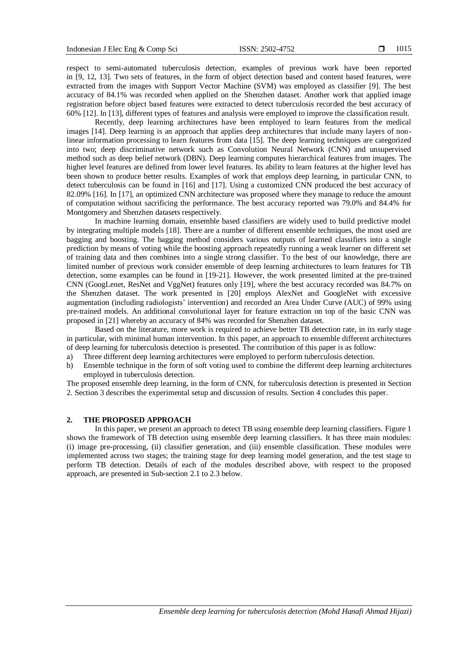respect to semi-automated tuberculosis detection, examples of previous work have been reported in [9, 12, 13]. Two sets of features, in the form of object detection based and content based features, were extracted from the images with Support Vector Machine (SVM) was employed as classifier [9]. The best accuracy of 84.1% was recorded when applied on the Shenzhen dataset. Another work that applied image registration before object based features were extracted to detect tuberculosis recorded the best accuracy of 60% [12]. In [13], different types of features and analysis were employed to improve the classification result.

Recently, deep learning architectures have been employed to learn features from the medical images [14]. Deep learning is an approach that applies deep architectures that include many layers of nonlinear information processing to learn features from data [15]. The deep learning techniques are categorized into two; deep discriminative network such as Convolution Neural Network (CNN) and unsupervised method such as deep belief network (DBN). Deep learning computes hierarchical features from images. The higher level features are defined from lower level features. Its ability to learn features at the higher level has been shown to produce better results. Examples of work that employs deep learning, in particular CNN, to detect tuberculosis can be found in [16] and [17]. Using a customized CNN produced the best accuracy of 82.09% [16]. In [17], an optimized CNN architecture was proposed where they manage to reduce the amount of computation without sacrificing the performance. The best accuracy reported was 79.0% and 84.4% for Montgomery and Shenzhen datasets respectively.

In machine learning domain, ensemble based classifiers are widely used to build predictive model by integrating multiple models [18]. There are a number of different ensemble techniques, the most used are bagging and boosting. The bagging method considers various outputs of learned classifiers into a single prediction by means of voting while the boosting approach repeatedly running a weak learner on different set of training data and then combines into a single strong classifier. To the best of our knowledge, there are limited number of previous work consider ensemble of deep learning architectures to learn features for TB detection, some examples can be found in [19-21]. However, the work presented limited at the pre-trained CNN (GoogLenet, ResNet and VggNet) features only [19], where the best accuracy recorded was 84.7% on the Shenzhen dataset. The work presented in [20] employs AlexNet and GoogleNet with excessive augmentation (including radiologists' intervention) and recorded an Area Under Curve (AUC) of 99% using pre-trained models. An additional convolutional layer for feature extraction on top of the basic CNN was proposed in [21] whereby an accuracy of 84% was recorded for Shenzhen dataset.

Based on the literature, more work is required to achieve better TB detection rate, in its early stage in particular, with minimal human intervention. In this paper, an approach to ensemble different architectures of deep learning for tuberculosis detection is presented. The contribution of this paper is as follow:

- a) Three different deep learning architectures were employed to perform tuberculosis detection.
- b) Ensemble technique in the form of soft voting used to combine the different deep learning architectures employed in tuberculosis detection.

The proposed ensemble deep learning, in the form of CNN, for tuberculosis detection is presented in Section 2. Section 3 describes the experimental setup and discussion of results. Section 4 concludes this paper.

### **2. THE PROPOSED APPROACH**

In this paper, we present an approach to detect TB using ensemble deep learning classifiers. Figure 1 shows the framework of TB detection using ensemble deep learning classifiers. It has three main modules: (i) image pre-processing, (ii) classifier generation, and (iii) ensemble classification. These modules were implemented across two stages; the training stage for deep learning model generation, and the test stage to perform TB detection. Details of each of the modules described above, with respect to the proposed approach, are presented in Sub-section 2.1 to 2.3 below.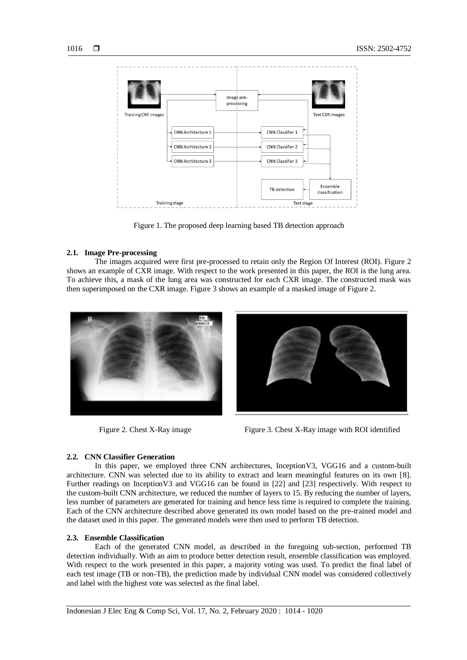

Figure 1. The proposed deep learning based TB detection approach

### **2.1. Image Pre-processing**

The images acquired were first pre-processed to retain only the Region Of Interest (ROI). Figure 2 shows an example of CXR image. With respect to the work presented in this paper, the ROI is the lung area. To achieve this, a mask of the lung area was constructed for each CXR image. The constructed mask was then superimposed on the CXR image. Figure 3 shows an example of a masked image of Figure 2.





Figure 2. Chest X-Ray image Figure 3. Chest X-Ray image with ROI identified

# **2.2. CNN Classifier Generation**

In this paper, we employed three CNN architectures, InceptionV3, VGG16 and a custom-built architecture. CNN was selected due to its ability to extract and learn meaningful features on its own [8]. Further readings on InceptionV3 and VGG16 can be found in [22] and [23] respectively. With respect to the custom-built CNN architecture, we reduced the number of layers to 15. By reducing the number of layers, less number of parameters are generated for training and hence less time is required to complete the training. Each of the CNN architecture described above generated its own model based on the pre-trained model and the dataset used in this paper. The generated models were then used to perform TB detection.

#### **2.3. Ensemble Classification**

Each of the generated CNN model, as described in the foregoing sub-section, performed TB detection individually. With an aim to produce better detection result, ensemble classification was employed. With respect to the work presented in this paper, a majority voting was used. To predict the final label of each test image (TB or non-TB), the prediction made by individual CNN model was considered collectively and label with the highest vote was selected as the final label.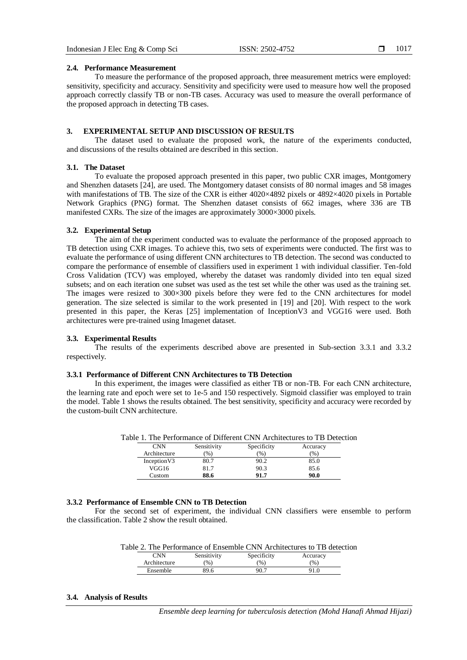#### **2.4. Performance Measurement**

To measure the performance of the proposed approach, three measurement metrics were employed: sensitivity, specificity and accuracy. Sensitivity and specificity were used to measure how well the proposed approach correctly classify TB or non-TB cases. Accuracy was used to measure the overall performance of the proposed approach in detecting TB cases.

#### **3. EXPERIMENTAL SETUP AND DISCUSSION OF RESULTS**

The dataset used to evaluate the proposed work, the nature of the experiments conducted, and discussions of the results obtained are described in this section.

# **3.1. The Dataset**

To evaluate the proposed approach presented in this paper, two public CXR images, Montgomery and Shenzhen datasets [24], are used. The Montgomery dataset consists of 80 normal images and 58 images with manifestations of TB. The size of the CXR is either 4020×4892 pixels or 4892×4020 pixels in Portable Network Graphics (PNG) format. The Shenzhen dataset consists of 662 images, where 336 are TB manifested CXRs. The size of the images are approximately 3000×3000 pixels.

#### **3.2. Experimental Setup**

The aim of the experiment conducted was to evaluate the performance of the proposed approach to TB detection using CXR images. To achieve this, two sets of experiments were conducted. The first was to evaluate the performance of using different CNN architectures to TB detection. The second was conducted to compare the performance of ensemble of classifiers used in experiment 1 with individual classifier. Ten-fold Cross Validation (TCV) was employed, whereby the dataset was randomly divided into ten equal sized subsets; and on each iteration one subset was used as the test set while the other was used as the training set. The images were resized to 300×300 pixels before they were fed to the CNN architectures for model generation. The size selected is similar to the work presented in [19] and [20]. With respect to the work presented in this paper, the Keras [25] implementation of InceptionV3 and VGG16 were used. Both architectures were pre-trained using Imagenet dataset.

#### **3.3. Experimental Results**

The results of the experiments described above are presented in Sub-section 3.3.1 and 3.3.2 respectively.

#### **3.3.1 Performance of Different CNN Architectures to TB Detection**

In this experiment, the images were classified as either TB or non-TB. For each CNN architecture, the learning rate and epoch were set to 1e-5 and 150 respectively. Sigmoid classifier was employed to train the model. Table 1 shows the results obtained. The best sensitivity, specificity and accuracy were recorded by the custom-built CNN architecture.

|              |               | Table 1. The Performance of Different CNN Architectures to TB Detection |               |  |
|--------------|---------------|-------------------------------------------------------------------------|---------------|--|
| <b>CNN</b>   | Sensitivity   | Specificity                                                             | Accuracy      |  |
| Architecture | $\frac{9}{0}$ | $\frac{9}{6}$                                                           | $\frac{9}{6}$ |  |
| Inception V3 | 80.7          | 90.2                                                                    | 85.0          |  |
| VGG16        | 81.7          | 90.3                                                                    | 85.6          |  |
| Custom       | 88.6          | 91.7                                                                    | 90.0          |  |

# **3.3.2 Performance of Ensemble CNN to TB Detection**

For the second set of experiment, the individual CNN classifiers were ensemble to perform the classification. Table 2 show the result obtained.

|  |  |  |  | Table 2. The Performance of Ensemble CNN Architectures to TB detection                            |  |
|--|--|--|--|---------------------------------------------------------------------------------------------------|--|
|  |  |  |  | المستحدث والمستحدث والمتحدث والمستحدث والمستحدث والمستحدث والمستحدث والمستحدث والمستحدث والمستحدث |  |

| $\sqrt{2}$ NN | Sensitivity   | Specificity | Accuracy |
|---------------|---------------|-------------|----------|
| Architecture  | $\frac{9}{6}$ | (96)        | (%       |
| Ensemble      | 89.6          | 90.7        | 91.0     |

#### **3.4. Analysis of Results**

*Ensemble deep learning for tuberculosis detection (Mohd Hanafi Ahmad Hijazi)*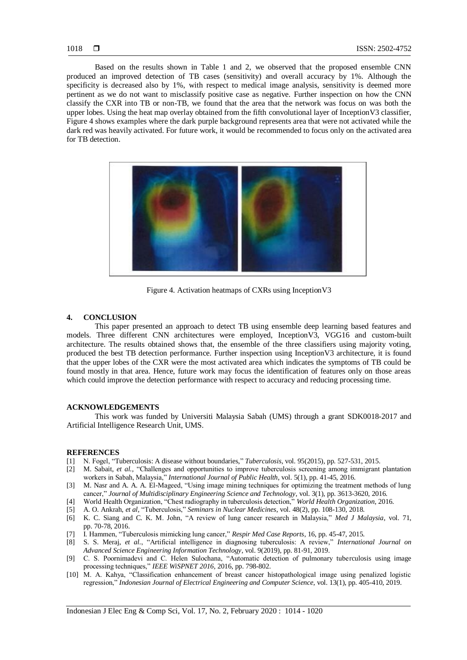Based on the results shown in Table 1 and 2, we observed that the proposed ensemble CNN produced an improved detection of TB cases (sensitivity) and overall accuracy by 1%. Although the specificity is decreased also by 1%, with respect to medical image analysis, sensitivity is deemed more pertinent as we do not want to misclassify positive case as negative. Further inspection on how the CNN classify the CXR into TB or non-TB, we found that the area that the network was focus on was both the upper lobes. Using the heat map overlay obtained from the fifth convolutional layer of InceptionV3 classifier, Figure 4 shows examples where the dark purple background represents area that were not activated while the dark red was heavily activated. For future work, it would be recommended to focus only on the activated area for TB detection.



Figure 4. Activation heatmaps of CXRs using InceptionV3

#### **4. CONCLUSION**

This paper presented an approach to detect TB using ensemble deep learning based features and models. Three different CNN architectures were employed, InceptionV3, VGG16 and custom-built architecture. The results obtained shows that, the ensemble of the three classifiers using majority voting, produced the best TB detection performance. Further inspection using InceptionV3 architecture, it is found that the upper lobes of the CXR were the most activated area which indicates the symptoms of TB could be found mostly in that area. Hence, future work may focus the identification of features only on those areas which could improve the detection performance with respect to accuracy and reducing processing time.

# **ACKNOWLEDGEMENTS**

This work was funded by Universiti Malaysia Sabah (UMS) through a grant SDK0018-2017 and Artificial Intelligence Research Unit, UMS.

#### **REFERENCES**

- [1] N. Fogel, "Tuberculosis: A disease without boundaries," *Tuberculosis*, vol. 95(2015), pp. 527-531, 2015.
- [2] M. Sabait, *et al.,* "Challenges and opportunities to improve tuberculosis screening among immigrant plantation workers in Sabah, Malaysia," *International Journal of Public Health*, vol. 5(1), pp. 41-45, 2016.
- [3] M. Nasr and A. A. A. El-Mageed, "Using image mining techniques for optimizing the treatment methods of lung cancer," *Journal of Multidisciplinary Engineering Science and Technology*, vol. 3(1), pp. 3613-3620, 2016.
- [4] World Health Organization, "Chest radiography in tuberculosis detection," *World Health Organization*, 2016.
- [5] A. O. Ankrah, *et al,* "Tuberculosis," *Seminars in Nuclear Medicines*, vol. 48(2), pp. 108-130, 2018.
- [6] K. C. Siang and C. K. M. John, "A review of lung cancer research in Malaysia," *Med J Malaysia*, vol. 71, pp. 70-78, 2016.
- [7] I. Hammen, "Tuberculosis mimicking lung cancer," *Respir Med Case Reports*, 16, pp. 45-47, 2015.
- [8] S. S. Meraj, *et al.*, "Artificial intelligence in diagnosing tuberculosis: A review," *International Journal on Advanced Science Engineering Information Technology*, vol. 9(2019), pp. 81-91, 2019.
- [9] C. S. Poornimadevi and C. Helen Sulochana, "Automatic detection of pulmonary tuberculosis using image processing techniques," *IEEE WiSPNET 2016*, 2016, pp. 798-802.
- [10] M. A. Kahya, "Classification enhancement of breast cancer histopathological image using penalized logistic regression," *Indonesian Journal of Electrical Engineering and Computer Science*, vol. 13(1), pp. 405-410, 2019.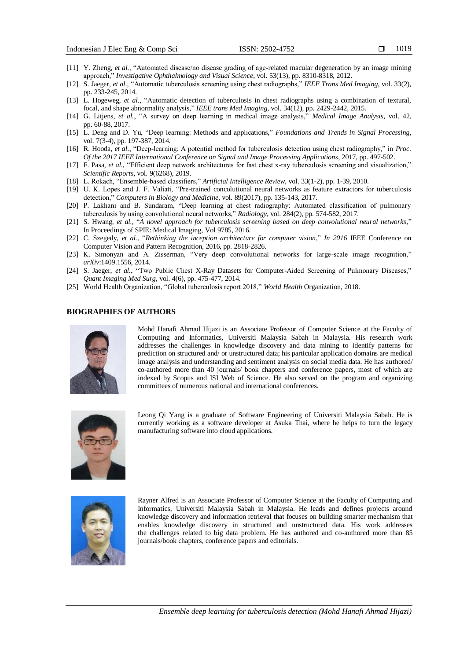- [11] Y. Zheng, *et al.,* "Automated disease/no disease grading of age-related macular degeneration by an image mining approach," *Investigative Ophthalmology and Visual Science*, vol. 53(13), pp. 8310-8318, 2012.
- [12] S. Jaeger, *et al.,* "Automatic tuberculosis screening using chest radiographs," *IEEE Trans Med Imaging*, vol. 33(2), pp. 233-245, 2014.
- [13] L. Hogeweg, *et al.*, "Automatic detection of tuberculosis in chest radiographs using a combination of textural, focal, and shape abnormality analysis," *IEEE trans Med Imaging*, vol. 34(12), pp. 2429-2442, 2015.
- [14] G. Litjens, *et al.*, "A survey on deep learning in medical image analysis," *Medical Image Analysis*, vol. 42, pp. 60-88, 2017.
- [15] L. Deng and D. Yu, "Deep learning: Methods and applications," *Foundations and Trends in Signal Processing*, vol. 7(3-4), pp. 197-387, 2014.
- [16] R. Hooda, *et al.*, "Deep-learning: A potential method for tuberculosis detection using chest radiography," in *Proc. Of the 2017 IEEE International Conference on Signal and Image Processing Applications*, 2017, pp. 497-502.
- [17] F. Pasa, *et al.,* "Efficient deep network architectures for fast chest x-ray tuberculosis screening and visualization," *Scientific Reports*, vol. 9(6268), 2019.
- [18] L. Rokach, "Ensemble-based classifiers," *Artificial Intelligence Review*, vol. 33(1-2), pp. 1-39, 2010.
- [19] U. K. Lopes and J. F. Valiati, "Pre-trained concolutional neural networks as feature extractors for tuberculosis detection," *Computers in Biology and Medicine*, vol. 89(2017), pp. 135-143, 2017.
- [20] P. Lakhani and B. Sundaram, "Deep learning at chest radiography: Automated classification of pulmonary tuberculosis by using convolutional neural networks," *Radiology*, vol. 284(2), pp. 574-582, 2017.
- [21] S. Hwang, *et al.,* "*A novel approach for tuberculosis screening based on deep convolutional neural networks*," In Proceedings of SPIE: Medical Imaging, Vol 9785, 2016.
- [22] C. Szegedy, *et al.*, "*Rethinking the inception architecture for computer vision*," *In 2016* IEEE Conference on Computer Vision and Pattern Recognition, 2016, pp. 2818-2826.
- [23] K. Simonyan and A. Zisserman, "Very deep convolutional networks for large-scale image recognition," *arXiv*:1409.1556, 2014.
- [24] S. Jaeger, *et al.*, "Two Public Chest X-Ray Datasets for Computer-Aided Screening of Pulmonary Diseases," *Quant Imaging Med Surg*, vol. 4(6), pp. 475-477, 2014.
- [25] World Health Organization, "Global tuberculosis report 2018," *World Health* Organization, 2018.

#### **BIOGRAPHIES OF AUTHORS**



Mohd Hanafi Ahmad Hijazi is an Associate Professor of Computer Science at the Faculty of Computing and Informatics, Universiti Malaysia Sabah in Malaysia. His research work addresses the challenges in knowledge discovery and data mining to identify patterns for prediction on structured and/ or unstructured data; his particular application domains are medical image analysis and understanding and sentiment analysis on social media data. He has authored/ co-authored more than 40 journals/ book chapters and conference papers, most of which are indexed by Scopus and ISI Web of Science. He also served on the program and organizing committees of numerous national and international conferences.



Leong Qi Yang is a graduate of Software Engineering of Universiti Malaysia Sabah. He is currently working as a software developer at Asuka Thai, where he helps to turn the legacy manufacturing software into cloud applications.



Rayner Alfred is an Associate Professor of Computer Science at the Faculty of Computing and Informatics, Universiti Malaysia Sabah in Malaysia. He leads and defines projects around knowledge discovery and information retrieval that focuses on building smarter mechanism that enables knowledge discovery in structured and unstructured data. His work addresses the challenges related to big data problem. He has authored and co-authored more than 85 journals/book chapters, conference papers and editorials.